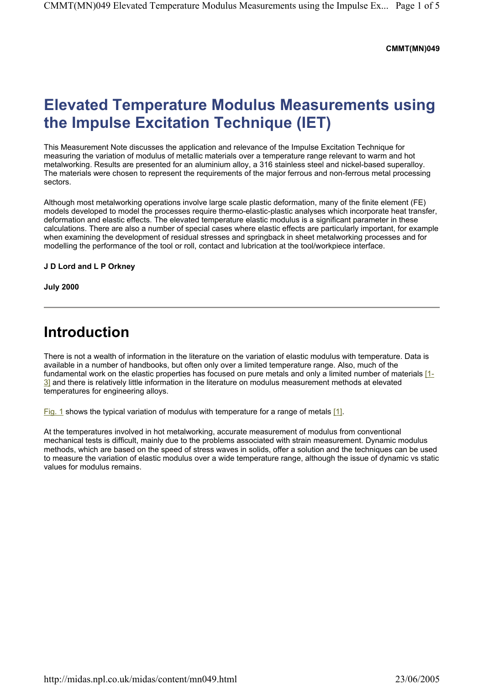#### **CMMT(MN)049**

# **Elevated Temperature Modulus Measurements using the Impulse Excitation Technique (IET)**

This Measurement Note discusses the application and relevance of the Impulse Excitation Technique for measuring the variation of modulus of metallic materials over a temperature range relevant to warm and hot metalworking. Results are presented for an aluminium alloy, a 316 stainless steel and nickel-based superalloy. The materials were chosen to represent the requirements of the major ferrous and non-ferrous metal processing sectors.

Although most metalworking operations involve large scale plastic deformation, many of the finite element (FE) models developed to model the processes require thermo-elastic-plastic analyses which incorporate heat transfer, deformation and elastic effects. The elevated temperature elastic modulus is a significant parameter in these calculations. There are also a number of special cases where elastic effects are particularly important, for example when examining the development of residual stresses and springback in sheet metalworking processes and for modelling the performance of the tool or roll, contact and lubrication at the tool/workpiece interface.

#### **J D Lord and L P Orkney**

**July 2000** 

### **Introduction**

There is not a wealth of information in the literature on the variation of elastic modulus with temperature. Data is available in a number of handbooks, but often only over a limited temperature range. Also, much of the fundamental work on the elastic properties has focused on pure metals and only a limited number of materials [1- 3] and there is relatively little information in the literature on modulus measurement methods at elevated temperatures for engineering alloys.

Fig. 1 shows the typical variation of modulus with temperature for a range of metals [1].

At the temperatures involved in hot metalworking, accurate measurement of modulus from conventional mechanical tests is difficult, mainly due to the problems associated with strain measurement. Dynamic modulus methods, which are based on the speed of stress waves in solids, offer a solution and the techniques can be used to measure the variation of elastic modulus over a wide temperature range, although the issue of dynamic vs static values for modulus remains.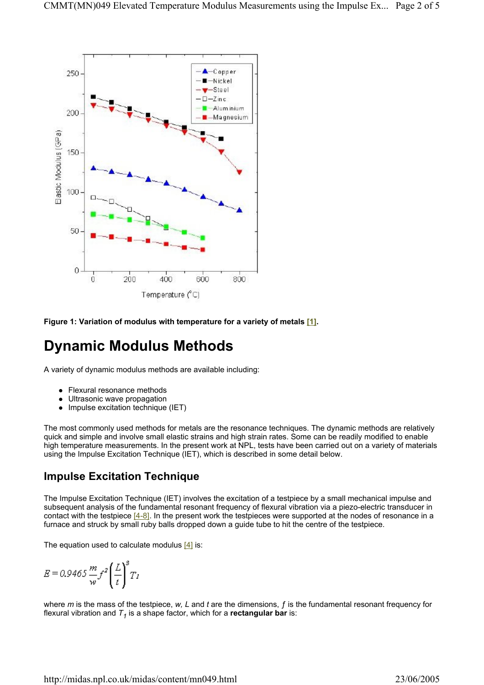

**Figure 1: Variation of modulus with temperature for a variety of metals [1].** 

# **Dynamic Modulus Methods**

A variety of dynamic modulus methods are available including:

- Flexural resonance methods
- Ultrasonic wave propagation
- Impulse excitation technique (IET)

The most commonly used methods for metals are the resonance techniques. The dynamic methods are relatively quick and simple and involve small elastic strains and high strain rates. Some can be readily modified to enable high temperature measurements. In the present work at NPL, tests have been carried out on a variety of materials using the Impulse Excitation Technique (IET), which is described in some detail below.

### **Impulse Excitation Technique**

The Impulse Excitation Technique (IET) involves the excitation of a testpiece by a small mechanical impulse and subsequent analysis of the fundamental resonant frequency of flexural vibration via a piezo-electric transducer in contact with the testpiece  $[4-8]$ . In the present work the testpieces were supported at the nodes of resonance in a furnace and struck by small ruby balls dropped down a guide tube to hit the centre of the testpiece.

The equation used to calculate modulus  $[4]$  is:

$$
E = 0.9465 \frac{m}{w} f^2 \left(\frac{L}{t}\right)^3 T_1
$$

where *m* is the mass of the testpiece, *w, L* and *t* are the dimensions, ƒ is the fundamental resonant frequency for flexural vibration and  $T_1$  is a shape factor, which for a **rectangular bar** is: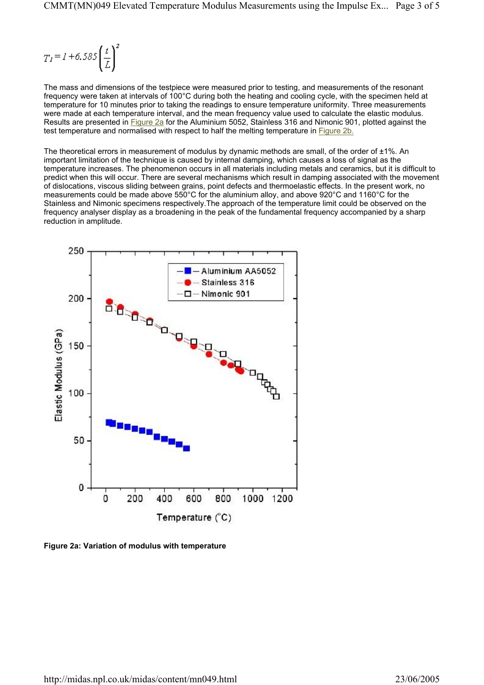$$
T_I = I + 6.585 \left(\frac{t}{L}\right)^2
$$

The mass and dimensions of the testpiece were measured prior to testing, and measurements of the resonant frequency were taken at intervals of 100°C during both the heating and cooling cycle, with the specimen held at temperature for 10 minutes prior to taking the readings to ensure temperature uniformity. Three measurements were made at each temperature interval, and the mean frequency value used to calculate the elastic modulus. Results are presented in Figure 2a for the Aluminium 5052, Stainless 316 and Nimonic 901, plotted against the test temperature and normalised with respect to half the melting temperature in Figure 2b.

The theoretical errors in measurement of modulus by dynamic methods are small, of the order of  $\pm 1\%$ . An important limitation of the technique is caused by internal damping, which causes a loss of signal as the temperature increases. The phenomenon occurs in all materials including metals and ceramics, but it is difficult to predict when this will occur. There are several mechanisms which result in damping associated with the movement of dislocations, viscous sliding between grains, point defects and thermoelastic effects. In the present work, no measurements could be made above 550°C for the aluminium alloy, and above 920°C and 1160°C for the Stainless and Nimonic specimens respectively.The approach of the temperature limit could be observed on the frequency analyser display as a broadening in the peak of the fundamental frequency accompanied by a sharp reduction in amplitude.



**Figure 2a: Variation of modulus with temperature**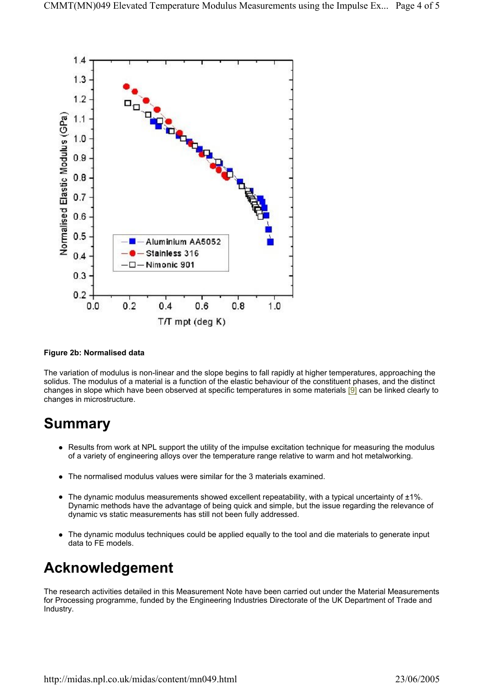

#### **Figure 2b: Normalised data**

The variation of modulus is non-linear and the slope begins to fall rapidly at higher temperatures, approaching the solidus. The modulus of a material is a function of the elastic behaviour of the constituent phases, and the distinct changes in slope which have been observed at specific temperatures in some materials [9] can be linked clearly to changes in microstructure.

### **Summary**

- Results from work at NPL support the utility of the impulse excitation technique for measuring the modulus of a variety of engineering alloys over the temperature range relative to warm and hot metalworking.
- The normalised modulus values were similar for the 3 materials examined.
- The dynamic modulus measurements showed excellent repeatability, with a typical uncertainty of  $\pm 1\%$ . Dynamic methods have the advantage of being quick and simple, but the issue regarding the relevance of dynamic vs static measurements has still not been fully addressed.
- The dynamic modulus techniques could be applied equally to the tool and die materials to generate input data to FE models.

### **Acknowledgement**

The research activities detailed in this Measurement Note have been carried out under the Material Measurements for Processing programme, funded by the Engineering Industries Directorate of the UK Department of Trade and Industry.